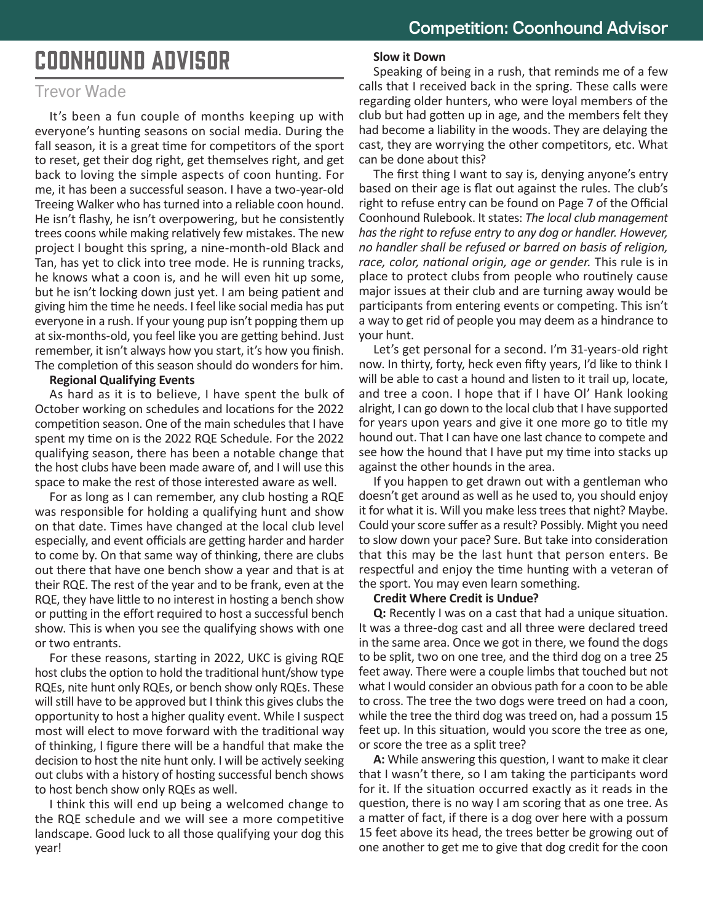# COONHOUND ADVISOR

# Trevor Wade

It's been a fun couple of months keeping up with everyone's hunting seasons on social media. During the fall season, it is a great time for competitors of the sport to reset, get their dog right, get themselves right, and get back to loving the simple aspects of coon hunting. For me, it has been a successful season. I have a two-year-old Treeing Walker who has turned into a reliable coon hound. He isn't flashy, he isn't overpowering, but he consistently trees coons while making relatively few mistakes. The new project I bought this spring, a nine-month-old Black and Tan, has yet to click into tree mode. He is running tracks, he knows what a coon is, and he will even hit up some, but he isn't locking down just yet. I am being patient and giving him the time he needs. I feel like social media has put everyone in a rush. If your young pup isn't popping them up at six-months-old, you feel like you are getting behind. Just remember, it isn't always how you start, it's how you finish. The completion of this season should do wonders for him.

# **Regional Qualifying Events**

As hard as it is to believe, I have spent the bulk of October working on schedules and locations for the 2022 competition season. One of the main schedules that I have spent my time on is the 2022 RQE Schedule. For the 2022 qualifying season, there has been a notable change that the host clubs have been made aware of, and I will use this space to make the rest of those interested aware as well.

For as long as I can remember, any club hosting a RQE was responsible for holding a qualifying hunt and show on that date. Times have changed at the local club level especially, and event officials are getting harder and harder to come by. On that same way of thinking, there are clubs out there that have one bench show a year and that is at their RQE. The rest of the year and to be frank, even at the RQE, they have little to no interest in hosting a bench show or putting in the effort required to host a successful bench show. This is when you see the qualifying shows with one or two entrants.

For these reasons, starting in 2022, UKC is giving RQE host clubs the option to hold the traditional hunt/show type RQEs, nite hunt only RQEs, or bench show only RQEs. These will still have to be approved but I think this gives clubs the opportunity to host a higher quality event. While I suspect most will elect to move forward with the traditional way of thinking, I figure there will be a handful that make the decision to host the nite hunt only. I will be actively seeking out clubs with a history of hosting successful bench shows to host bench show only RQEs as well.

I think this will end up being a welcomed change to the RQE schedule and we will see a more competitive landscape. Good luck to all those qualifying your dog this year!

# **Slow it Down**

Speaking of being in a rush, that reminds me of a few calls that I received back in the spring. These calls were regarding older hunters, who were loyal members of the club but had gotten up in age, and the members felt they had become a liability in the woods. They are delaying the cast, they are worrying the other competitors, etc. What can be done about this?

The first thing I want to say is, denying anyone's entry based on their age is flat out against the rules. The club's right to refuse entry can be found on Page 7 of the Official Coonhound Rulebook. It states: *The local club management has the right to refuse entry to any dog or handler. However, no handler shall be refused or barred on basis of religion, race, color, national origin, age or gender.* This rule is in place to protect clubs from people who routinely cause major issues at their club and are turning away would be participants from entering events or competing. This isn't a way to get rid of people you may deem as a hindrance to your hunt.

Let's get personal for a second. I'm 31-years-old right now. In thirty, forty, heck even fifty years, I'd like to think I will be able to cast a hound and listen to it trail up, locate, and tree a coon. I hope that if I have Ol' Hank looking alright, I can go down to the local club that I have supported for years upon years and give it one more go to title my hound out. That I can have one last chance to compete and see how the hound that I have put my time into stacks up against the other hounds in the area.

If you happen to get drawn out with a gentleman who doesn't get around as well as he used to, you should enjoy it for what it is. Will you make less trees that night? Maybe. Could your score suffer as a result? Possibly. Might you need to slow down your pace? Sure. But take into consideration that this may be the last hunt that person enters. Be respectful and enjoy the time hunting with a veteran of the sport. You may even learn something.

# **Credit Where Credit is Undue?**

**Q:** Recently I was on a cast that had a unique situation. It was a three-dog cast and all three were declared treed in the same area. Once we got in there, we found the dogs to be split, two on one tree, and the third dog on a tree 25 feet away. There were a couple limbs that touched but not what I would consider an obvious path for a coon to be able to cross. The tree the two dogs were treed on had a coon, while the tree the third dog was treed on, had a possum 15 feet up. In this situation, would you score the tree as one, or score the tree as a split tree?

**A:** While answering this question, I want to make it clear that I wasn't there, so I am taking the participants word for it. If the situation occurred exactly as it reads in the question, there is no way I am scoring that as one tree. As a matter of fact, if there is a dog over here with a possum 15 feet above its head, the trees better be growing out of one another to get me to give that dog credit for the coon